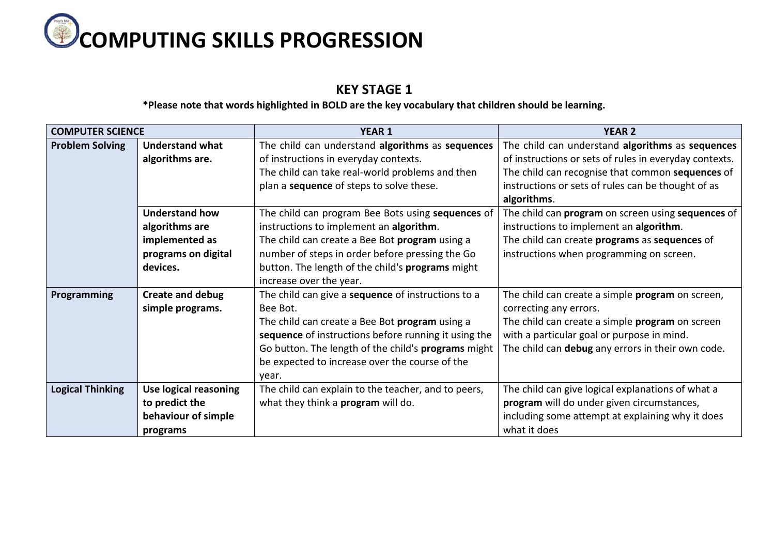

## **KEY STAGE 1**

**\*Please note that words highlighted in BOLD are the key vocabulary that children should be learning.**

| <b>COMPUTER SCIENCE</b>                          |                        | <b>YEAR 1</b>                                        | <b>YEAR 2</b>                                          |  |
|--------------------------------------------------|------------------------|------------------------------------------------------|--------------------------------------------------------|--|
| <b>Problem Solving</b>                           | <b>Understand what</b> | The child can understand algorithms as sequences     | The child can understand algorithms as sequences       |  |
| algorithms are.                                  |                        | of instructions in everyday contexts.                | of instructions or sets of rules in everyday contexts. |  |
|                                                  |                        | The child can take real-world problems and then      | The child can recognise that common sequences of       |  |
|                                                  |                        | plan a sequence of steps to solve these.             | instructions or sets of rules can be thought of as     |  |
|                                                  |                        |                                                      | algorithms.                                            |  |
|                                                  | <b>Understand how</b>  | The child can program Bee Bots using sequences of    | The child can program on screen using sequences of     |  |
|                                                  | algorithms are         | instructions to implement an algorithm.              | instructions to implement an algorithm.                |  |
|                                                  | implemented as         | The child can create a Bee Bot program using a       | The child can create programs as sequences of          |  |
|                                                  | programs on digital    | number of steps in order before pressing the Go      | instructions when programming on screen.               |  |
|                                                  | devices.               | button. The length of the child's programs might     |                                                        |  |
|                                                  |                        | increase over the year.                              |                                                        |  |
| <b>Create and debug</b><br>Programming           |                        | The child can give a sequence of instructions to a   | The child can create a simple program on screen,       |  |
| simple programs.                                 |                        | Bee Bot.<br>correcting any errors.                   |                                                        |  |
|                                                  |                        | The child can create a Bee Bot program using a       | The child can create a simple program on screen        |  |
|                                                  |                        | sequence of instructions before running it using the | with a particular goal or purpose in mind.             |  |
|                                                  |                        | Go button. The length of the child's programs might  | The child can debug any errors in their own code.      |  |
|                                                  |                        | be expected to increase over the course of the       |                                                        |  |
|                                                  |                        | year.                                                |                                                        |  |
| <b>Logical Thinking</b><br>Use logical reasoning |                        | The child can explain to the teacher, and to peers,  | The child can give logical explanations of what a      |  |
| to predict the                                   |                        | what they think a <b>program</b> will do.            | program will do under given circumstances,             |  |
|                                                  | behaviour of simple    |                                                      | including some attempt at explaining why it does       |  |
|                                                  | programs               |                                                      | what it does                                           |  |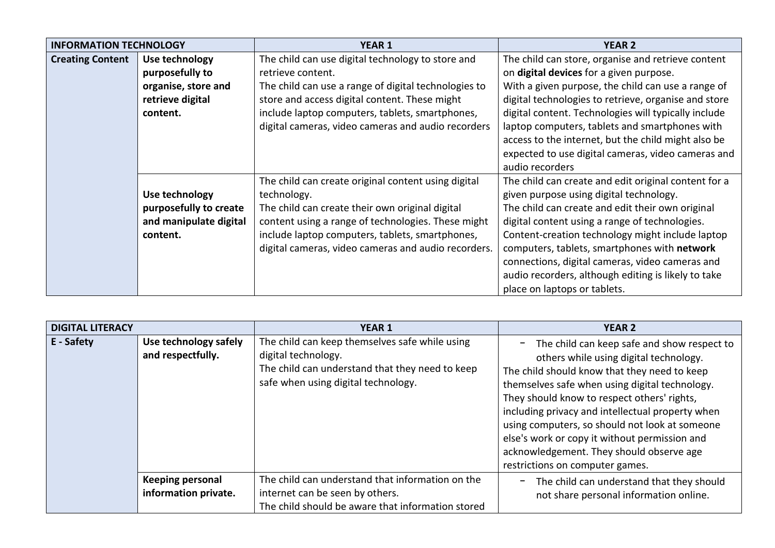| <b>INFORMATION TECHNOLOGY</b> |                        | <b>YEAR 1</b>                                        | <b>YEAR 2</b>                                        |
|-------------------------------|------------------------|------------------------------------------------------|------------------------------------------------------|
| <b>Creating Content</b>       | Use technology         | The child can use digital technology to store and    | The child can store, organise and retrieve content   |
|                               | purposefully to        | retrieve content.                                    | on digital devices for a given purpose.              |
|                               | organise, store and    | The child can use a range of digital technologies to | With a given purpose, the child can use a range of   |
|                               | retrieve digital       | store and access digital content. These might        | digital technologies to retrieve, organise and store |
|                               | content.               | include laptop computers, tablets, smartphones,      | digital content. Technologies will typically include |
|                               |                        | digital cameras, video cameras and audio recorders   | laptop computers, tablets and smartphones with       |
|                               |                        |                                                      | access to the internet, but the child might also be  |
|                               |                        |                                                      | expected to use digital cameras, video cameras and   |
|                               |                        |                                                      | audio recorders                                      |
|                               |                        | The child can create original content using digital  | The child can create and edit original content for a |
|                               | Use technology         | technology.                                          | given purpose using digital technology.              |
|                               | purposefully to create | The child can create their own original digital      | The child can create and edit their own original     |
|                               | and manipulate digital | content using a range of technologies. These might   | digital content using a range of technologies.       |
|                               | content.               | include laptop computers, tablets, smartphones,      | Content-creation technology might include laptop     |
|                               |                        | digital cameras, video cameras and audio recorders.  | computers, tablets, smartphones with network         |
|                               |                        |                                                      | connections, digital cameras, video cameras and      |
|                               |                        |                                                      | audio recorders, although editing is likely to take  |
|                               |                        |                                                      | place on laptops or tablets.                         |

| <b>DIGITAL LITERACY</b> |            |                                                 | <b>YEAR 1</b>                                                                                                                                                   | <b>YEAR 2</b>                                                                                                                                                                                                                                                                                                                                                                                                                                                                |
|-------------------------|------------|-------------------------------------------------|-----------------------------------------------------------------------------------------------------------------------------------------------------------------|------------------------------------------------------------------------------------------------------------------------------------------------------------------------------------------------------------------------------------------------------------------------------------------------------------------------------------------------------------------------------------------------------------------------------------------------------------------------------|
|                         | E - Safety | Use technology safely<br>and respectfully.      | The child can keep themselves safe while using<br>digital technology.<br>The child can understand that they need to keep<br>safe when using digital technology. | The child can keep safe and show respect to<br>others while using digital technology.<br>The child should know that they need to keep<br>themselves safe when using digital technology.<br>They should know to respect others' rights,<br>including privacy and intellectual property when<br>using computers, so should not look at someone<br>else's work or copy it without permission and<br>acknowledgement. They should observe age<br>restrictions on computer games. |
|                         |            | <b>Keeping personal</b><br>information private. | The child can understand that information on the<br>internet can be seen by others.<br>The child should be aware that information stored                        | The child can understand that they should<br>$\qquad \qquad -$<br>not share personal information online.                                                                                                                                                                                                                                                                                                                                                                     |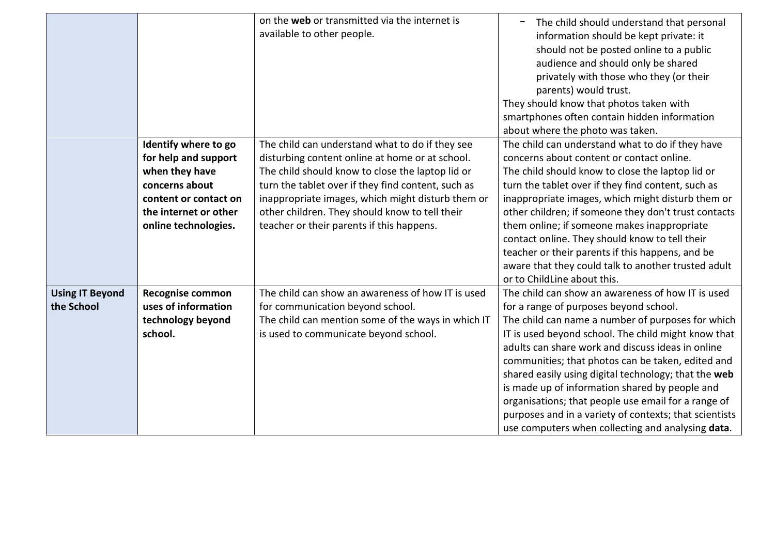|                                      |                                                                                                                                                            | on the web or transmitted via the internet is<br>available to other people.                                                                                                                                                                                                                                                                                      | The child should understand that personal<br>information should be kept private: it<br>should not be posted online to a public<br>audience and should only be shared<br>privately with those who they (or their<br>parents) would trust.<br>They should know that photos taken with<br>smartphones often contain hidden information<br>about where the photo was taken.                                                                                                                                                                                                                           |
|--------------------------------------|------------------------------------------------------------------------------------------------------------------------------------------------------------|------------------------------------------------------------------------------------------------------------------------------------------------------------------------------------------------------------------------------------------------------------------------------------------------------------------------------------------------------------------|---------------------------------------------------------------------------------------------------------------------------------------------------------------------------------------------------------------------------------------------------------------------------------------------------------------------------------------------------------------------------------------------------------------------------------------------------------------------------------------------------------------------------------------------------------------------------------------------------|
|                                      | Identify where to go<br>for help and support<br>when they have<br>concerns about<br>content or contact on<br>the internet or other<br>online technologies. | The child can understand what to do if they see<br>disturbing content online at home or at school.<br>The child should know to close the laptop lid or<br>turn the tablet over if they find content, such as<br>inappropriate images, which might disturb them or<br>other children. They should know to tell their<br>teacher or their parents if this happens. | The child can understand what to do if they have<br>concerns about content or contact online.<br>The child should know to close the laptop lid or<br>turn the tablet over if they find content, such as<br>inappropriate images, which might disturb them or<br>other children; if someone they don't trust contacts<br>them online; if someone makes inappropriate<br>contact online. They should know to tell their<br>teacher or their parents if this happens, and be<br>aware that they could talk to another trusted adult<br>or to ChildLine about this.                                   |
| <b>Using IT Beyond</b><br>the School | <b>Recognise common</b><br>uses of information<br>technology beyond<br>school.                                                                             | The child can show an awareness of how IT is used<br>for communication beyond school.<br>The child can mention some of the ways in which IT<br>is used to communicate beyond school.                                                                                                                                                                             | The child can show an awareness of how IT is used<br>for a range of purposes beyond school.<br>The child can name a number of purposes for which<br>IT is used beyond school. The child might know that<br>adults can share work and discuss ideas in online<br>communities; that photos can be taken, edited and<br>shared easily using digital technology; that the web<br>is made up of information shared by people and<br>organisations; that people use email for a range of<br>purposes and in a variety of contexts; that scientists<br>use computers when collecting and analysing data. |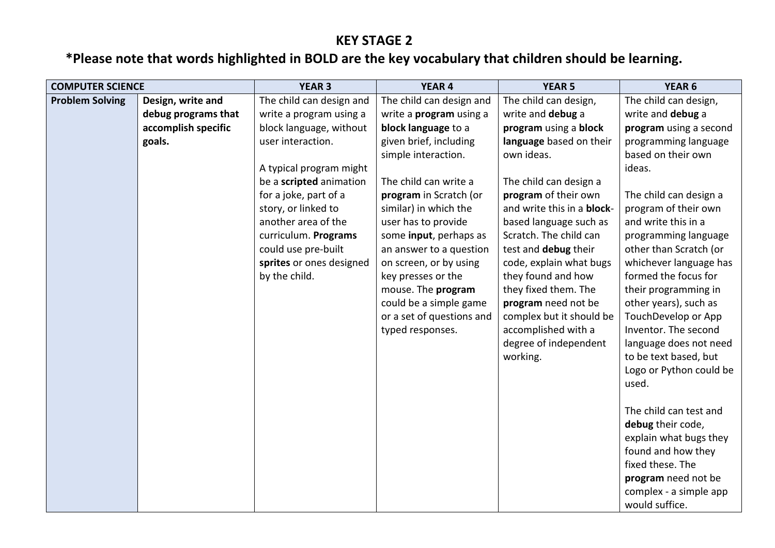## **KEY STAGE 2**

## **\*Please note that words highlighted in BOLD are the key vocabulary that children should be learning.**

| <b>COMPUTER SCIENCE</b> |                                                                           | <b>YEAR 3</b>                                                                                                                                                                                                                                                                   | <b>YEAR 4</b>                                                                                                                                                                                                                                                                              | <b>YEAR 5</b>                                                                                                                                                                                                                                                            | YEAR <sub>6</sub>                                                                                                                                                                                                                                                                                                                                                                                                           |
|-------------------------|---------------------------------------------------------------------------|---------------------------------------------------------------------------------------------------------------------------------------------------------------------------------------------------------------------------------------------------------------------------------|--------------------------------------------------------------------------------------------------------------------------------------------------------------------------------------------------------------------------------------------------------------------------------------------|--------------------------------------------------------------------------------------------------------------------------------------------------------------------------------------------------------------------------------------------------------------------------|-----------------------------------------------------------------------------------------------------------------------------------------------------------------------------------------------------------------------------------------------------------------------------------------------------------------------------------------------------------------------------------------------------------------------------|
| <b>Problem Solving</b>  | Design, write and<br>debug programs that<br>accomplish specific<br>goals. | The child can design and<br>write a program using a<br>block language, without<br>user interaction.<br>A typical program might<br>be a scripted animation<br>for a joke, part of a<br>story, or linked to<br>another area of the<br>curriculum. Programs<br>could use pre-built | The child can design and<br>write a <b>program</b> using a<br>block language to a<br>given brief, including<br>simple interaction.<br>The child can write a<br>program in Scratch (or<br>similar) in which the<br>user has to provide<br>some input, perhaps as<br>an answer to a question | The child can design,<br>write and debug a<br>program using a block<br>language based on their<br>own ideas.<br>The child can design a<br>program of their own<br>and write this in a block-<br>based language such as<br>Scratch. The child can<br>test and debug their | The child can design,<br>write and debug a<br>program using a second<br>programming language<br>based on their own<br>ideas.<br>The child can design a<br>program of their own<br>and write this in a<br>programming language<br>other than Scratch (or                                                                                                                                                                     |
|                         |                                                                           | sprites or ones designed<br>by the child.                                                                                                                                                                                                                                       | on screen, or by using<br>key presses or the<br>mouse. The program<br>could be a simple game<br>or a set of questions and<br>typed responses.                                                                                                                                              | code, explain what bugs<br>they found and how<br>they fixed them. The<br>program need not be<br>complex but it should be<br>accomplished with a<br>degree of independent<br>working.                                                                                     | whichever language has<br>formed the focus for<br>their programming in<br>other years), such as<br>TouchDevelop or App<br>Inventor. The second<br>language does not need<br>to be text based, but<br>Logo or Python could be<br>used.<br>The child can test and<br>debug their code,<br>explain what bugs they<br>found and how they<br>fixed these. The<br>program need not be<br>complex - a simple app<br>would suffice. |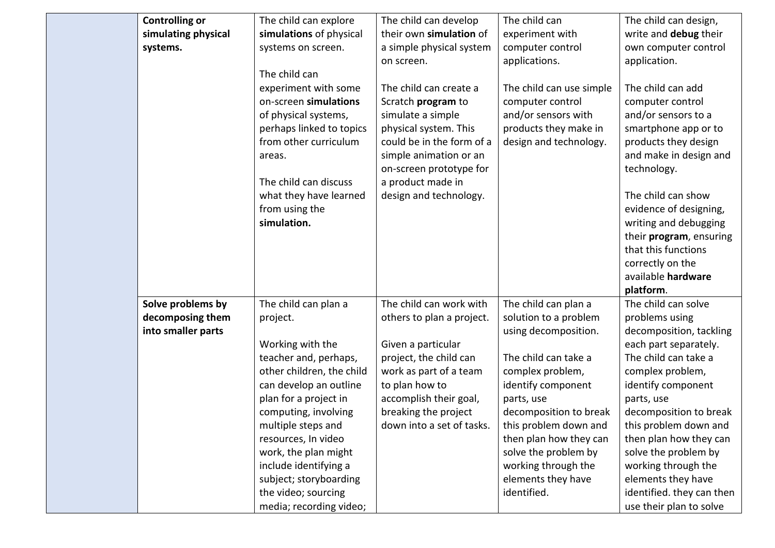| simulating physical<br>simulations of physical<br>their own simulation of<br>experiment with<br>write and debug their<br>a simple physical system<br>computer control<br>own computer control<br>systems.<br>systems on screen. |  |
|---------------------------------------------------------------------------------------------------------------------------------------------------------------------------------------------------------------------------------|--|
|                                                                                                                                                                                                                                 |  |
|                                                                                                                                                                                                                                 |  |
| applications.<br>application.<br>on screen.                                                                                                                                                                                     |  |
| The child can                                                                                                                                                                                                                   |  |
| experiment with some<br>The child can create a<br>The child can use simple<br>The child can add                                                                                                                                 |  |
| on-screen simulations<br>Scratch program to<br>computer control<br>computer control                                                                                                                                             |  |
| and/or sensors with<br>simulate a simple<br>and/or sensors to a<br>of physical systems,                                                                                                                                         |  |
| products they make in<br>perhaps linked to topics<br>physical system. This<br>smartphone app or to                                                                                                                              |  |
| from other curriculum<br>could be in the form of a<br>design and technology.<br>products they design                                                                                                                            |  |
| simple animation or an<br>and make in design and<br>areas.                                                                                                                                                                      |  |
| technology.<br>on-screen prototype for                                                                                                                                                                                          |  |
| The child can discuss<br>a product made in                                                                                                                                                                                      |  |
| what they have learned<br>design and technology.<br>The child can show                                                                                                                                                          |  |
| from using the<br>evidence of designing,                                                                                                                                                                                        |  |
| simulation.<br>writing and debugging                                                                                                                                                                                            |  |
| their program, ensuring                                                                                                                                                                                                         |  |
| that this functions                                                                                                                                                                                                             |  |
| correctly on the                                                                                                                                                                                                                |  |
| available hardware                                                                                                                                                                                                              |  |
| platform.                                                                                                                                                                                                                       |  |
| Solve problems by<br>The child can work with<br>The child can plan a<br>The child can solve<br>The child can plan a                                                                                                             |  |
| decomposing them<br>solution to a problem<br>others to plan a project.<br>problems using<br>project.                                                                                                                            |  |
| into smaller parts<br>using decomposition.<br>decomposition, tackling                                                                                                                                                           |  |
| Working with the<br>Given a particular<br>each part separately.                                                                                                                                                                 |  |
| teacher and, perhaps,<br>project, the child can<br>The child can take a<br>The child can take a                                                                                                                                 |  |
| other children, the child<br>work as part of a team<br>complex problem,<br>complex problem,                                                                                                                                     |  |
| can develop an outline<br>to plan how to<br>identify component<br>identify component<br>accomplish their goal,                                                                                                                  |  |
| plan for a project in<br>parts, use<br>parts, use<br>decomposition to break<br>decomposition to break<br>computing, involving<br>breaking the project                                                                           |  |
| down into a set of tasks.<br>this problem down and<br>multiple steps and<br>this problem down and                                                                                                                               |  |
| resources, In video<br>then plan how they can<br>then plan how they can                                                                                                                                                         |  |
| work, the plan might<br>solve the problem by<br>solve the problem by                                                                                                                                                            |  |
| include identifying a<br>working through the<br>working through the                                                                                                                                                             |  |
| subject; storyboarding<br>elements they have<br>elements they have                                                                                                                                                              |  |
| the video; sourcing<br>identified.<br>identified. they can then                                                                                                                                                                 |  |
| media; recording video;<br>use their plan to solve                                                                                                                                                                              |  |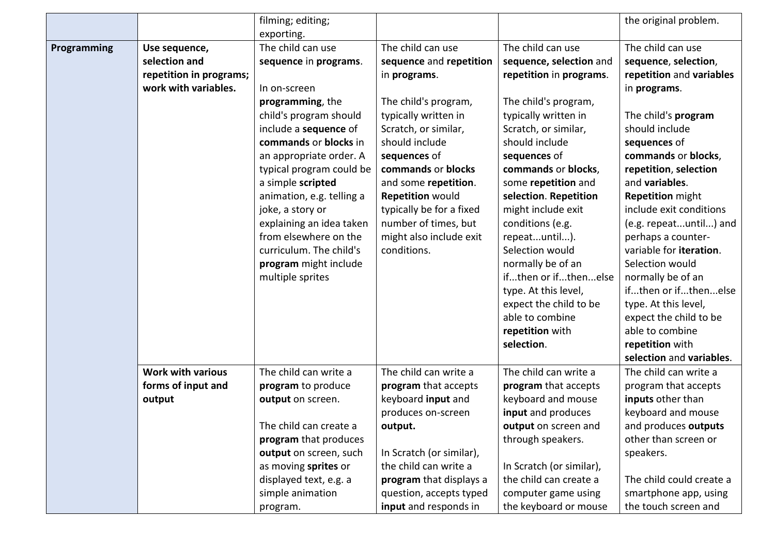|             |                          | filming; editing;         |                          |                          | the original problem.    |
|-------------|--------------------------|---------------------------|--------------------------|--------------------------|--------------------------|
|             |                          | exporting.                |                          |                          |                          |
| Programming | Use sequence,            | The child can use         | The child can use        | The child can use        | The child can use        |
|             | selection and            | sequence in programs.     | sequence and repetition  | sequence, selection and  | sequence, selection,     |
|             | repetition in programs;  |                           | in programs.             | repetition in programs.  | repetition and variables |
|             | work with variables.     | In on-screen              |                          |                          | in programs.             |
|             |                          | programming, the          | The child's program,     | The child's program,     |                          |
|             |                          | child's program should    | typically written in     | typically written in     | The child's program      |
|             |                          | include a sequence of     | Scratch, or similar,     | Scratch, or similar,     | should include           |
|             |                          | commands or blocks in     | should include           | should include           | sequences of             |
|             |                          | an appropriate order. A   | sequences of             | sequences of             | commands or blocks,      |
|             |                          | typical program could be  | commands or blocks       | commands or blocks,      | repetition, selection    |
|             |                          | a simple scripted         | and some repetition.     | some repetition and      | and variables.           |
|             |                          | animation, e.g. telling a | <b>Repetition would</b>  | selection. Repetition    | <b>Repetition might</b>  |
|             |                          | joke, a story or          | typically be for a fixed | might include exit       | include exit conditions  |
|             |                          | explaining an idea taken  | number of times, but     | conditions (e.g.         | (e.g. repeatuntil) and   |
|             |                          | from elsewhere on the     | might also include exit  | repeatuntil).            | perhaps a counter-       |
|             |                          | curriculum. The child's   | conditions.              | Selection would          | variable for iteration.  |
|             |                          | program might include     |                          | normally be of an        | Selection would          |
|             |                          | multiple sprites          |                          | ifthen or ifthenelse     | normally be of an        |
|             |                          |                           |                          | type. At this level,     | ifthen or ifthenelse     |
|             |                          |                           |                          | expect the child to be   | type. At this level,     |
|             |                          |                           |                          | able to combine          | expect the child to be   |
|             |                          |                           |                          | repetition with          | able to combine          |
|             |                          |                           |                          | selection.               | repetition with          |
|             |                          |                           |                          |                          | selection and variables. |
|             | <b>Work with various</b> | The child can write a     | The child can write a    | The child can write a    | The child can write a    |
|             | forms of input and       | program to produce        | program that accepts     | program that accepts     | program that accepts     |
|             | output                   | output on screen.         | keyboard input and       | keyboard and mouse       | inputs other than        |
|             |                          |                           | produces on-screen       | input and produces       | keyboard and mouse       |
|             |                          | The child can create a    | output.                  | output on screen and     | and produces outputs     |
|             |                          | program that produces     |                          | through speakers.        | other than screen or     |
|             |                          | output on screen, such    | In Scratch (or similar), |                          | speakers.                |
|             |                          | as moving sprites or      | the child can write a    | In Scratch (or similar), |                          |
|             |                          | displayed text, e.g. a    | program that displays a  | the child can create a   | The child could create a |
|             |                          | simple animation          | question, accepts typed  | computer game using      | smartphone app, using    |
|             |                          | program.                  | input and responds in    | the keyboard or mouse    | the touch screen and     |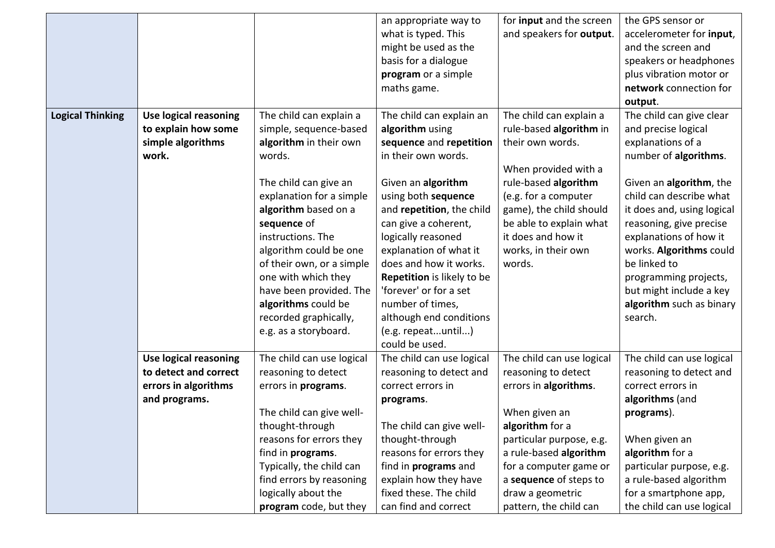|                         |                              |                           | an appropriate way to       | for <b>input</b> and the screen | the GPS sensor or          |
|-------------------------|------------------------------|---------------------------|-----------------------------|---------------------------------|----------------------------|
|                         |                              |                           | what is typed. This         | and speakers for output.        | accelerometer for input,   |
|                         |                              |                           | might be used as the        |                                 | and the screen and         |
|                         |                              |                           | basis for a dialogue        |                                 | speakers or headphones     |
|                         |                              |                           | program or a simple         |                                 | plus vibration motor or    |
|                         |                              |                           | maths game.                 |                                 | network connection for     |
|                         |                              |                           |                             |                                 | output.                    |
| <b>Logical Thinking</b> | <b>Use logical reasoning</b> | The child can explain a   | The child can explain an    | The child can explain a         | The child can give clear   |
|                         | to explain how some          | simple, sequence-based    | algorithm using             | rule-based algorithm in         | and precise logical        |
|                         | simple algorithms            | algorithm in their own    | sequence and repetition     | their own words.                | explanations of a          |
|                         | work.                        | words.                    | in their own words.         |                                 | number of algorithms.      |
|                         |                              |                           |                             | When provided with a            |                            |
|                         |                              | The child can give an     | Given an algorithm          | rule-based algorithm            | Given an algorithm, the    |
|                         |                              | explanation for a simple  | using both sequence         | (e.g. for a computer            | child can describe what    |
|                         |                              | algorithm based on a      | and repetition, the child   | game), the child should         | it does and, using logical |
|                         |                              | sequence of               | can give a coherent,        | be able to explain what         | reasoning, give precise    |
|                         |                              | instructions. The         | logically reasoned          | it does and how it              | explanations of how it     |
|                         |                              | algorithm could be one    | explanation of what it      | works, in their own             | works. Algorithms could    |
|                         |                              | of their own, or a simple | does and how it works.      | words.                          | be linked to               |
|                         |                              | one with which they       | Repetition is likely to be  |                                 | programming projects,      |
|                         |                              | have been provided. The   | 'forever' or for a set      |                                 | but might include a key    |
|                         |                              | algorithms could be       | number of times,            |                                 | algorithm such as binary   |
|                         |                              | recorded graphically,     | although end conditions     |                                 | search.                    |
|                         |                              | e.g. as a storyboard.     | (e.g. repeatuntil)          |                                 |                            |
|                         |                              |                           | could be used.              |                                 |                            |
|                         | <b>Use logical reasoning</b> | The child can use logical | The child can use logical   | The child can use logical       | The child can use logical  |
|                         | to detect and correct        | reasoning to detect       | reasoning to detect and     | reasoning to detect             | reasoning to detect and    |
|                         | errors in algorithms         | errors in programs.       | correct errors in           | errors in algorithms.           | correct errors in          |
|                         | and programs.                |                           | programs.                   |                                 | algorithms (and            |
|                         |                              | The child can give well-  |                             | When given an                   | programs).                 |
|                         |                              | thought-through           | The child can give well-    | algorithm for a                 |                            |
|                         |                              | reasons for errors they   | thought-through             | particular purpose, e.g.        | When given an              |
|                         |                              | find in programs.         | reasons for errors they     | a rule-based algorithm          | algorithm for a            |
|                         |                              | Typically, the child can  | find in <b>programs</b> and | for a computer game or          | particular purpose, e.g.   |
|                         |                              | find errors by reasoning  | explain how they have       | a sequence of steps to          | a rule-based algorithm     |
|                         |                              | logically about the       | fixed these. The child      | draw a geometric                | for a smartphone app,      |
|                         |                              | program code, but they    | can find and correct        | pattern, the child can          | the child can use logical  |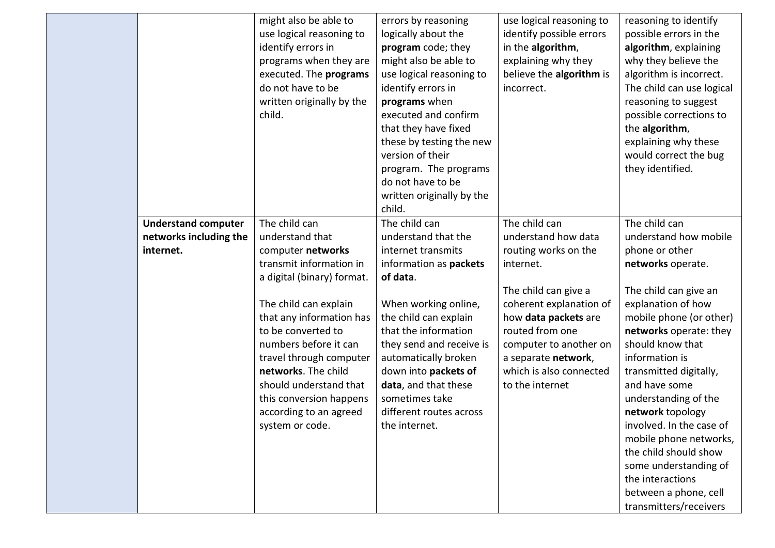|                                                                   | might also be able to<br>use logical reasoning to<br>identify errors in<br>programs when they are<br>executed. The programs<br>do not have to be<br>written originally by the<br>child.                                                                                                                                                                                | errors by reasoning<br>logically about the<br>program code; they<br>might also be able to<br>use logical reasoning to<br>identify errors in<br>programs when<br>executed and confirm<br>that they have fixed                                                                                                                                | use logical reasoning to<br>identify possible errors<br>in the algorithm,<br>explaining why they<br>believe the algorithm is<br>incorrect.                                                                                                                             | reasoning to identify<br>possible errors in the<br>algorithm, explaining<br>why they believe the<br>algorithm is incorrect.<br>The child can use logical<br>reasoning to suggest<br>possible corrections to<br>the algorithm,                                                                                                                                                                                                                                                                 |
|-------------------------------------------------------------------|------------------------------------------------------------------------------------------------------------------------------------------------------------------------------------------------------------------------------------------------------------------------------------------------------------------------------------------------------------------------|---------------------------------------------------------------------------------------------------------------------------------------------------------------------------------------------------------------------------------------------------------------------------------------------------------------------------------------------|------------------------------------------------------------------------------------------------------------------------------------------------------------------------------------------------------------------------------------------------------------------------|-----------------------------------------------------------------------------------------------------------------------------------------------------------------------------------------------------------------------------------------------------------------------------------------------------------------------------------------------------------------------------------------------------------------------------------------------------------------------------------------------|
|                                                                   |                                                                                                                                                                                                                                                                                                                                                                        | these by testing the new<br>version of their<br>program. The programs<br>do not have to be<br>written originally by the<br>child.                                                                                                                                                                                                           |                                                                                                                                                                                                                                                                        | explaining why these<br>would correct the bug<br>they identified.                                                                                                                                                                                                                                                                                                                                                                                                                             |
| <b>Understand computer</b><br>networks including the<br>internet. | The child can<br>understand that<br>computer networks<br>transmit information in<br>a digital (binary) format.<br>The child can explain<br>that any information has<br>to be converted to<br>numbers before it can<br>travel through computer<br>networks. The child<br>should understand that<br>this conversion happens<br>according to an agreed<br>system or code. | The child can<br>understand that the<br>internet transmits<br>information as packets<br>of data.<br>When working online,<br>the child can explain<br>that the information<br>they send and receive is<br>automatically broken<br>down into packets of<br>data, and that these<br>sometimes take<br>different routes across<br>the internet. | The child can<br>understand how data<br>routing works on the<br>internet.<br>The child can give a<br>coherent explanation of<br>how data packets are<br>routed from one<br>computer to another on<br>a separate network,<br>which is also connected<br>to the internet | The child can<br>understand how mobile<br>phone or other<br>networks operate.<br>The child can give an<br>explanation of how<br>mobile phone (or other)<br>networks operate: they<br>should know that<br>information is<br>transmitted digitally,<br>and have some<br>understanding of the<br>network topology<br>involved. In the case of<br>mobile phone networks,<br>the child should show<br>some understanding of<br>the interactions<br>between a phone, cell<br>transmitters/receivers |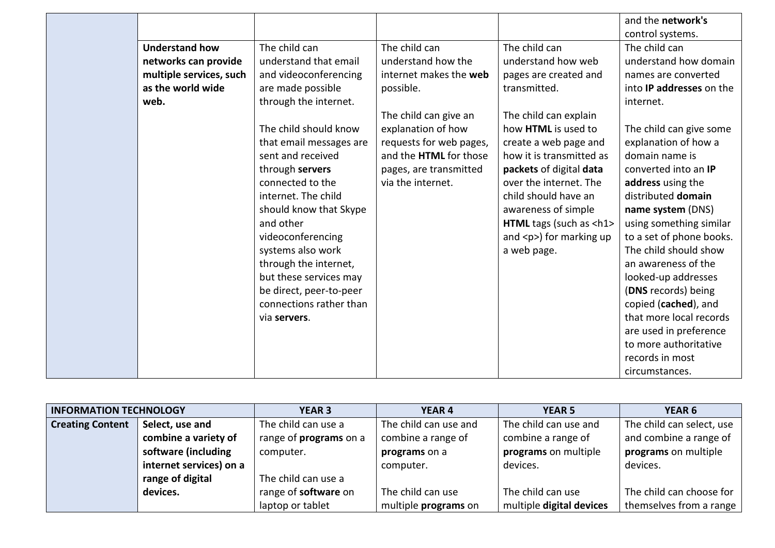|                         |                         |                         |                                | and the network's               |
|-------------------------|-------------------------|-------------------------|--------------------------------|---------------------------------|
|                         |                         |                         |                                | control systems.                |
| <b>Understand how</b>   | The child can           | The child can           | The child can                  | The child can                   |
| networks can provide    | understand that email   | understand how the      | understand how web             | understand how domain           |
| multiple services, such | and videoconferencing   | internet makes the web  | pages are created and          | names are converted             |
| as the world wide       | are made possible       | possible.               | transmitted.                   | into <b>IP</b> addresses on the |
| web.                    | through the internet.   |                         |                                | internet.                       |
|                         |                         | The child can give an   | The child can explain          |                                 |
|                         | The child should know   | explanation of how      | how HTML is used to            | The child can give some         |
|                         | that email messages are | requests for web pages, | create a web page and          | explanation of how a            |
|                         | sent and received       | and the HTML for those  | how it is transmitted as       | domain name is                  |
|                         | through servers         | pages, are transmitted  | packets of digital data        | converted into an IP            |
|                         | connected to the        | via the internet.       | over the internet. The         | address using the               |
|                         | internet. The child     |                         | child should have an           | distributed domain              |
|                         | should know that Skype  |                         | awareness of simple            | name system (DNS)               |
|                         | and other               |                         | HTML tags (such as <h1></h1>   | using something similar         |
|                         | videoconferencing       |                         | and $<$ p $>$ ) for marking up | to a set of phone books.        |
|                         | systems also work       |                         | a web page.                    | The child should show           |
|                         | through the internet,   |                         |                                | an awareness of the             |
|                         | but these services may  |                         |                                | looked-up addresses             |
|                         | be direct, peer-to-peer |                         |                                | (DNS records) being             |
|                         | connections rather than |                         |                                | copied (cached), and            |
|                         | via servers.            |                         |                                | that more local records         |
|                         |                         |                         |                                | are used in preference          |
|                         |                         |                         |                                | to more authoritative           |
|                         |                         |                         |                                | records in most                 |
|                         |                         |                         |                                | circumstances.                  |

| <b>INFORMATION TECHNOLOGY</b> |                         | <b>YEAR 3</b>                 | <b>YEAR 4</b>         | <b>YEAR 5</b>            | <b>YEAR 6</b>             |
|-------------------------------|-------------------------|-------------------------------|-----------------------|--------------------------|---------------------------|
| <b>Creating Content</b>       | Select, use and         | The child can use a           | The child can use and | The child can use and    | The child can select, use |
|                               | combine a variety of    | range of <b>programs</b> on a | combine a range of    | combine a range of       | and combine a range of    |
|                               | software (including     | computer.                     | programs on a         | programs on multiple     | programs on multiple      |
|                               | internet services) on a |                               | computer.             | devices.                 | devices.                  |
|                               | range of digital        | The child can use a           |                       |                          |                           |
|                               | devices.                | range of software on          | The child can use     | The child can use        | The child can choose for  |
|                               |                         | laptop or tablet              | multiple programs on  | multiple digital devices | themselves from a range   |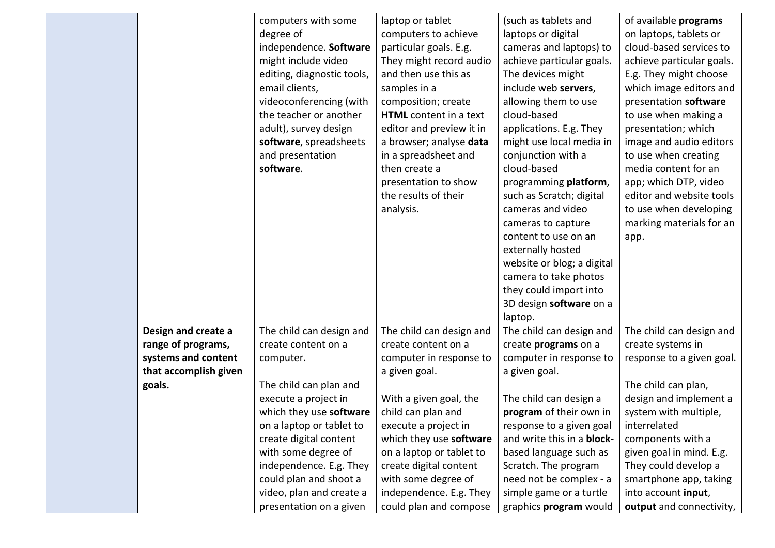|                       | computers with some        | laptop or tablet         | (such as tablets and       | of available programs     |
|-----------------------|----------------------------|--------------------------|----------------------------|---------------------------|
|                       | degree of                  | computers to achieve     | laptops or digital         | on laptops, tablets or    |
|                       | independence. Software     | particular goals. E.g.   | cameras and laptops) to    | cloud-based services to   |
|                       | might include video        | They might record audio  | achieve particular goals.  | achieve particular goals. |
|                       | editing, diagnostic tools, | and then use this as     | The devices might          | E.g. They might choose    |
|                       | email clients,             | samples in a             | include web servers,       | which image editors and   |
|                       | videoconferencing (with    | composition; create      | allowing them to use       | presentation software     |
|                       | the teacher or another     | HTML content in a text   | cloud-based                | to use when making a      |
|                       | adult), survey design      | editor and preview it in | applications. E.g. They    | presentation; which       |
|                       | software, spreadsheets     | a browser; analyse data  | might use local media in   | image and audio editors   |
|                       | and presentation           | in a spreadsheet and     | conjunction with a         | to use when creating      |
|                       | software.                  | then create a            | cloud-based                | media content for an      |
|                       |                            | presentation to show     | programming platform,      | app; which DTP, video     |
|                       |                            | the results of their     | such as Scratch; digital   | editor and website tools  |
|                       |                            | analysis.                | cameras and video          | to use when developing    |
|                       |                            |                          | cameras to capture         | marking materials for an  |
|                       |                            |                          | content to use on an       | app.                      |
|                       |                            |                          | externally hosted          |                           |
|                       |                            |                          | website or blog; a digital |                           |
|                       |                            |                          | camera to take photos      |                           |
|                       |                            |                          | they could import into     |                           |
|                       |                            |                          | 3D design software on a    |                           |
|                       |                            |                          | laptop.                    |                           |
| Design and create a   | The child can design and   | The child can design and | The child can design and   | The child can design and  |
| range of programs,    | create content on a        | create content on a      | create programs on a       | create systems in         |
| systems and content   | computer.                  | computer in response to  | computer in response to    | response to a given goal. |
| that accomplish given |                            | a given goal.            | a given goal.              |                           |
| goals.                | The child can plan and     |                          |                            | The child can plan,       |
|                       | execute a project in       | With a given goal, the   | The child can design a     | design and implement a    |
|                       | which they use software    | child can plan and       | program of their own in    | system with multiple,     |
|                       | on a laptop or tablet to   | execute a project in     | response to a given goal   | interrelated              |
|                       | create digital content     | which they use software  | and write this in a block- | components with a         |
|                       | with some degree of        | on a laptop or tablet to | based language such as     | given goal in mind. E.g.  |
|                       | independence. E.g. They    | create digital content   | Scratch. The program       | They could develop a      |
|                       | could plan and shoot a     | with some degree of      | need not be complex - a    | smartphone app, taking    |
|                       | video, plan and create a   | independence. E.g. They  | simple game or a turtle    | into account input,       |
|                       | presentation on a given    | could plan and compose   | graphics program would     | output and connectivity,  |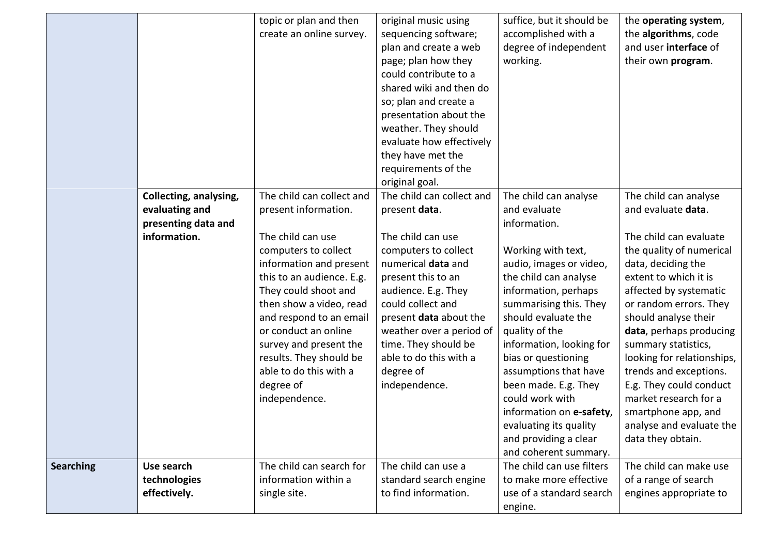|                  |                        | topic or plan and then    | original music using      | suffice, but it should be | the operating system,      |
|------------------|------------------------|---------------------------|---------------------------|---------------------------|----------------------------|
|                  |                        | create an online survey.  | sequencing software;      | accomplished with a       | the algorithms, code       |
|                  |                        |                           | plan and create a web     | degree of independent     | and user interface of      |
|                  |                        |                           | page; plan how they       | working.                  | their own program.         |
|                  |                        |                           | could contribute to a     |                           |                            |
|                  |                        |                           | shared wiki and then do   |                           |                            |
|                  |                        |                           | so; plan and create a     |                           |                            |
|                  |                        |                           | presentation about the    |                           |                            |
|                  |                        |                           | weather. They should      |                           |                            |
|                  |                        |                           | evaluate how effectively  |                           |                            |
|                  |                        |                           | they have met the         |                           |                            |
|                  |                        |                           | requirements of the       |                           |                            |
|                  |                        |                           | original goal.            |                           |                            |
|                  | Collecting, analysing, | The child can collect and | The child can collect and | The child can analyse     | The child can analyse      |
|                  | evaluating and         | present information.      | present data.             | and evaluate              | and evaluate data.         |
|                  | presenting data and    |                           |                           | information.              |                            |
|                  | information.           | The child can use         | The child can use         |                           | The child can evaluate     |
|                  |                        | computers to collect      | computers to collect      | Working with text,        | the quality of numerical   |
|                  |                        | information and present   | numerical data and        | audio, images or video,   | data, deciding the         |
|                  |                        | this to an audience. E.g. | present this to an        | the child can analyse     | extent to which it is      |
|                  |                        | They could shoot and      | audience. E.g. They       | information, perhaps      | affected by systematic     |
|                  |                        | then show a video, read   | could collect and         | summarising this. They    | or random errors. They     |
|                  |                        | and respond to an email   | present data about the    | should evaluate the       | should analyse their       |
|                  |                        | or conduct an online      | weather over a period of  | quality of the            | data, perhaps producing    |
|                  |                        | survey and present the    | time. They should be      | information, looking for  | summary statistics,        |
|                  |                        | results. They should be   | able to do this with a    | bias or questioning       | looking for relationships, |
|                  |                        | able to do this with a    | degree of                 | assumptions that have     | trends and exceptions.     |
|                  |                        | degree of                 | independence.             | been made. E.g. They      | E.g. They could conduct    |
|                  |                        | independence.             |                           | could work with           | market research for a      |
|                  |                        |                           |                           | information on e-safety,  | smartphone app, and        |
|                  |                        |                           |                           | evaluating its quality    | analyse and evaluate the   |
|                  |                        |                           |                           | and providing a clear     | data they obtain.          |
|                  |                        |                           |                           | and coherent summary.     |                            |
| <b>Searching</b> | Use search             | The child can search for  | The child can use a       | The child can use filters | The child can make use     |
|                  | technologies           | information within a      | standard search engine    | to make more effective    | of a range of search       |
|                  | effectively.           | single site.              | to find information.      | use of a standard search  | engines appropriate to     |
|                  |                        |                           |                           | engine.                   |                            |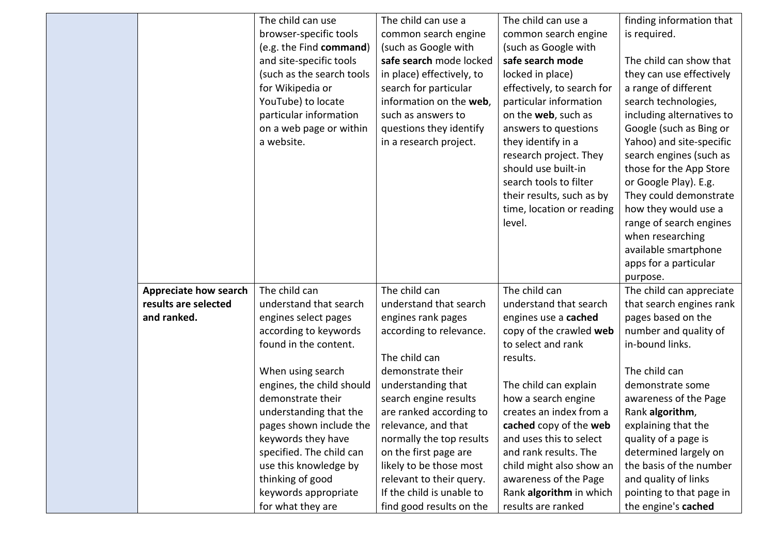|                       | The child can use         | The child can use a       | The child can use a        | finding information that  |
|-----------------------|---------------------------|---------------------------|----------------------------|---------------------------|
|                       | browser-specific tools    | common search engine      | common search engine       | is required.              |
|                       | (e.g. the Find command)   | (such as Google with      | (such as Google with       |                           |
|                       | and site-specific tools   | safe search mode locked   | safe search mode           | The child can show that   |
|                       | (such as the search tools | in place) effectively, to | locked in place)           | they can use effectively  |
|                       | for Wikipedia or          | search for particular     | effectively, to search for | a range of different      |
|                       | YouTube) to locate        | information on the web,   | particular information     | search technologies,      |
|                       | particular information    | such as answers to        | on the web, such as        | including alternatives to |
|                       | on a web page or within   | questions they identify   | answers to questions       | Google (such as Bing or   |
|                       | a website.                | in a research project.    | they identify in a         | Yahoo) and site-specific  |
|                       |                           |                           | research project. They     | search engines (such as   |
|                       |                           |                           | should use built-in        | those for the App Store   |
|                       |                           |                           | search tools to filter     | or Google Play). E.g.     |
|                       |                           |                           | their results, such as by  | They could demonstrate    |
|                       |                           |                           | time, location or reading  | how they would use a      |
|                       |                           |                           | level.                     | range of search engines   |
|                       |                           |                           |                            | when researching          |
|                       |                           |                           |                            | available smartphone      |
|                       |                           |                           |                            | apps for a particular     |
|                       |                           |                           |                            | purpose.                  |
| Appreciate how search | The child can             | The child can             | The child can              | The child can appreciate  |
| results are selected  | understand that search    | understand that search    | understand that search     | that search engines rank  |
| and ranked.           | engines select pages      | engines rank pages        | engines use a cached       | pages based on the        |
|                       | according to keywords     | according to relevance.   | copy of the crawled web    | number and quality of     |
|                       | found in the content.     |                           | to select and rank         | in-bound links.           |
|                       |                           | The child can             | results.                   |                           |
|                       | When using search         | demonstrate their         |                            | The child can             |
|                       | engines, the child should | understanding that        | The child can explain      | demonstrate some          |
|                       | demonstrate their         | search engine results     | how a search engine        | awareness of the Page     |
|                       | understanding that the    | are ranked according to   | creates an index from a    | Rank algorithm,           |
|                       | pages shown include the   | relevance, and that       | cached copy of the web     | explaining that the       |
|                       | keywords they have        | normally the top results  | and uses this to select    | quality of a page is      |
|                       | specified. The child can  | on the first page are     | and rank results. The      | determined largely on     |
|                       | use this knowledge by     | likely to be those most   | child might also show an   | the basis of the number   |
|                       | thinking of good          | relevant to their query.  | awareness of the Page      | and quality of links      |
|                       | keywords appropriate      | If the child is unable to | Rank algorithm in which    | pointing to that page in  |
|                       | for what they are         | find good results on the  | results are ranked         | the engine's cached       |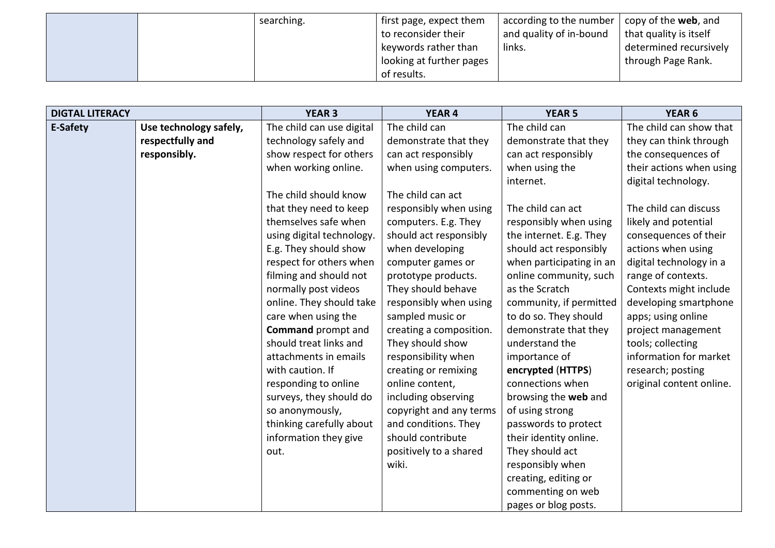|  | searching. | first page, expect them  | according to the number $\parallel$ | copy of the <b>web</b> , and |
|--|------------|--------------------------|-------------------------------------|------------------------------|
|  |            | to reconsider their      | and quality of in-bound             | that quality is itself       |
|  |            | keywords rather than     | links.                              | determined recursively       |
|  |            | looking at further pages |                                     | through Page Rank.           |
|  |            | of results.              |                                     |                              |

| <b>DIGTAL LITERACY</b> |                        | <b>YEAR 3</b>             | <b>YEAR 4</b>           | <b>YEAR 5</b>            | YEAR 6                   |
|------------------------|------------------------|---------------------------|-------------------------|--------------------------|--------------------------|
| E-Safety               | Use technology safely, | The child can use digital | The child can           | The child can            | The child can show that  |
|                        | respectfully and       | technology safely and     | demonstrate that they   | demonstrate that they    | they can think through   |
|                        | responsibly.           | show respect for others   | can act responsibly     | can act responsibly      | the consequences of      |
|                        |                        | when working online.      | when using computers.   | when using the           | their actions when using |
|                        |                        |                           |                         | internet.                | digital technology.      |
|                        |                        | The child should know     | The child can act       |                          |                          |
|                        |                        | that they need to keep    | responsibly when using  | The child can act        | The child can discuss    |
|                        |                        | themselves safe when      | computers. E.g. They    | responsibly when using   | likely and potential     |
|                        |                        | using digital technology. | should act responsibly  | the internet. E.g. They  | consequences of their    |
|                        |                        | E.g. They should show     | when developing         | should act responsibly   | actions when using       |
|                        |                        | respect for others when   | computer games or       | when participating in an | digital technology in a  |
|                        |                        | filming and should not    | prototype products.     | online community, such   | range of contexts.       |
|                        |                        | normally post videos      | They should behave      | as the Scratch           | Contexts might include   |
|                        |                        | online. They should take  | responsibly when using  | community, if permitted  | developing smartphone    |
|                        |                        | care when using the       | sampled music or        | to do so. They should    | apps; using online       |
|                        |                        | <b>Command</b> prompt and | creating a composition. | demonstrate that they    | project management       |
|                        |                        | should treat links and    | They should show        | understand the           | tools; collecting        |
|                        |                        | attachments in emails     | responsibility when     | importance of            | information for market   |
|                        |                        | with caution. If          | creating or remixing    | encrypted (HTTPS)        | research; posting        |
|                        |                        | responding to online      | online content,         | connections when         | original content online. |
|                        |                        | surveys, they should do   | including observing     | browsing the web and     |                          |
|                        |                        | so anonymously,           | copyright and any terms | of using strong          |                          |
|                        |                        | thinking carefully about  | and conditions. They    | passwords to protect     |                          |
|                        |                        | information they give     | should contribute       | their identity online.   |                          |
|                        |                        | out.                      | positively to a shared  | They should act          |                          |
|                        |                        |                           | wiki.                   | responsibly when         |                          |
|                        |                        |                           |                         | creating, editing or     |                          |
|                        |                        |                           |                         | commenting on web        |                          |
|                        |                        |                           |                         | pages or blog posts.     |                          |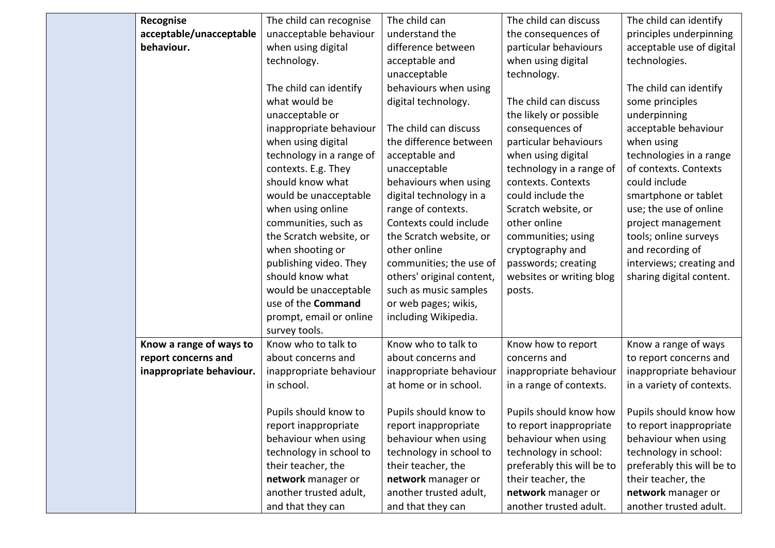| Recognise                | The child can recognise  | The child can             | The child can discuss      | The child can identify     |
|--------------------------|--------------------------|---------------------------|----------------------------|----------------------------|
| acceptable/unacceptable  | unacceptable behaviour   | understand the            | the consequences of        | principles underpinning    |
| behaviour.               | when using digital       | difference between        | particular behaviours      | acceptable use of digital  |
|                          | technology.              | acceptable and            | when using digital         | technologies.              |
|                          |                          | unacceptable              | technology.                |                            |
|                          | The child can identify   | behaviours when using     |                            | The child can identify     |
|                          | what would be            | digital technology.       | The child can discuss      | some principles            |
|                          | unacceptable or          |                           | the likely or possible     | underpinning               |
|                          | inappropriate behaviour  | The child can discuss     | consequences of            | acceptable behaviour       |
|                          | when using digital       | the difference between    | particular behaviours      | when using                 |
|                          | technology in a range of | acceptable and            | when using digital         | technologies in a range    |
|                          | contexts. E.g. They      | unacceptable              | technology in a range of   | of contexts. Contexts      |
|                          | should know what         | behaviours when using     | contexts. Contexts         | could include              |
|                          | would be unacceptable    | digital technology in a   | could include the          | smartphone or tablet       |
|                          | when using online        | range of contexts.        | Scratch website, or        | use; the use of online     |
|                          | communities, such as     | Contexts could include    | other online               | project management         |
|                          | the Scratch website, or  | the Scratch website, or   | communities; using         | tools; online surveys      |
|                          | when shooting or         | other online              | cryptography and           | and recording of           |
|                          | publishing video. They   | communities; the use of   | passwords; creating        | interviews; creating and   |
|                          | should know what         | others' original content, | websites or writing blog   | sharing digital content.   |
|                          | would be unacceptable    | such as music samples     | posts.                     |                            |
|                          | use of the Command       | or web pages; wikis,      |                            |                            |
|                          | prompt, email or online  | including Wikipedia.      |                            |                            |
|                          | survey tools.            |                           |                            |                            |
| Know a range of ways to  | Know who to talk to      | Know who to talk to       | Know how to report         | Know a range of ways       |
| report concerns and      | about concerns and       | about concerns and        | concerns and               | to report concerns and     |
| inappropriate behaviour. | inappropriate behaviour  | inappropriate behaviour   | inappropriate behaviour    | inappropriate behaviour    |
|                          | in school.               | at home or in school.     | in a range of contexts.    | in a variety of contexts.  |
|                          |                          |                           |                            |                            |
|                          | Pupils should know to    | Pupils should know to     | Pupils should know how     | Pupils should know how     |
|                          | report inappropriate     | report inappropriate      | to report inappropriate    | to report inappropriate    |
|                          | behaviour when using     | behaviour when using      | behaviour when using       | behaviour when using       |
|                          | technology in school to  | technology in school to   | technology in school:      | technology in school:      |
|                          | their teacher, the       | their teacher, the        | preferably this will be to | preferably this will be to |
|                          | network manager or       | network manager or        | their teacher, the         | their teacher, the         |
|                          | another trusted adult,   | another trusted adult,    | network manager or         | network manager or         |
|                          | and that they can        | and that they can         | another trusted adult.     | another trusted adult.     |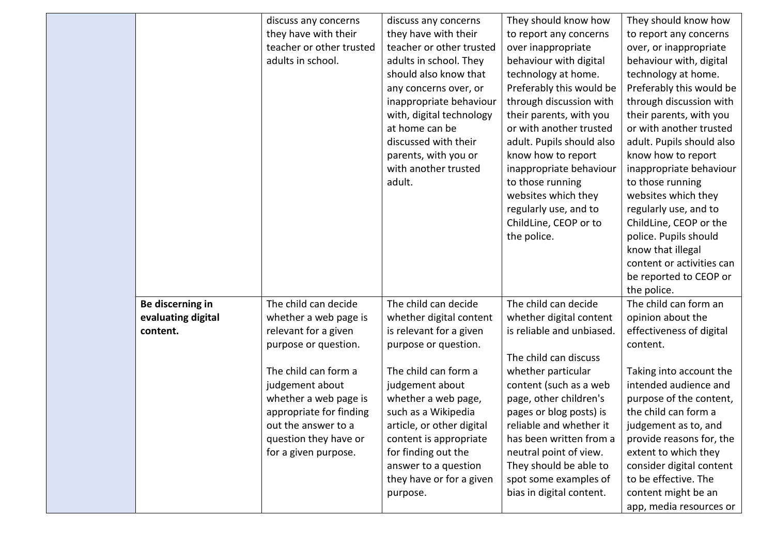|                    | discuss any concerns     | discuss any concerns      | They should know how      | They should know how      |
|--------------------|--------------------------|---------------------------|---------------------------|---------------------------|
|                    | they have with their     | they have with their      | to report any concerns    | to report any concerns    |
|                    | teacher or other trusted | teacher or other trusted  | over inappropriate        | over, or inappropriate    |
|                    | adults in school.        | adults in school. They    | behaviour with digital    | behaviour with, digital   |
|                    |                          | should also know that     | technology at home.       | technology at home.       |
|                    |                          | any concerns over, or     | Preferably this would be  | Preferably this would be  |
|                    |                          | inappropriate behaviour   | through discussion with   | through discussion with   |
|                    |                          | with, digital technology  | their parents, with you   | their parents, with you   |
|                    |                          | at home can be            | or with another trusted   | or with another trusted   |
|                    |                          | discussed with their      | adult. Pupils should also | adult. Pupils should also |
|                    |                          | parents, with you or      | know how to report        | know how to report        |
|                    |                          | with another trusted      | inappropriate behaviour   | inappropriate behaviour   |
|                    |                          | adult.                    | to those running          | to those running          |
|                    |                          |                           | websites which they       | websites which they       |
|                    |                          |                           | regularly use, and to     | regularly use, and to     |
|                    |                          |                           | ChildLine, CEOP or to     | ChildLine, CEOP or the    |
|                    |                          |                           | the police.               | police. Pupils should     |
|                    |                          |                           |                           | know that illegal         |
|                    |                          |                           |                           | content or activities can |
|                    |                          |                           |                           | be reported to CEOP or    |
|                    |                          |                           |                           | the police.               |
| Be discerning in   | The child can decide     | The child can decide      | The child can decide      | The child can form an     |
| evaluating digital | whether a web page is    | whether digital content   | whether digital content   | opinion about the         |
| content.           | relevant for a given     | is relevant for a given   | is reliable and unbiased. | effectiveness of digital  |
|                    | purpose or question.     | purpose or question.      |                           | content.                  |
|                    |                          |                           | The child can discuss     |                           |
|                    | The child can form a     | The child can form a      | whether particular        | Taking into account the   |
|                    | judgement about          | judgement about           | content (such as a web    | intended audience and     |
|                    | whether a web page is    | whether a web page,       | page, other children's    | purpose of the content,   |
|                    | appropriate for finding  | such as a Wikipedia       | pages or blog posts) is   | the child can form a      |
|                    | out the answer to a      | article, or other digital | reliable and whether it   | judgement as to, and      |
|                    | question they have or    | content is appropriate    | has been written from a   | provide reasons for, the  |
|                    | for a given purpose.     | for finding out the       | neutral point of view.    | extent to which they      |
|                    |                          | answer to a question      | They should be able to    | consider digital content  |
|                    |                          | they have or for a given  | spot some examples of     | to be effective. The      |
|                    |                          | purpose.                  | bias in digital content.  | content might be an       |
|                    |                          |                           |                           | app, media resources or   |